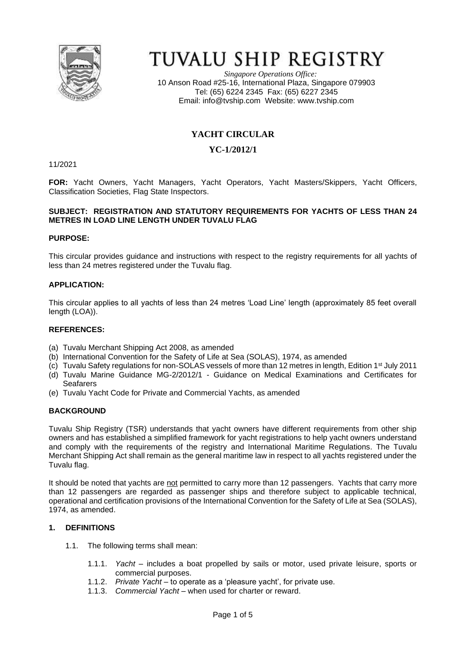

# TUVALU SHIP REGISTRY

*Singapore Operations Office:* 10 Anson Road #25-16, International Plaza, Singapore 079903 Tel: (65) 6224 2345 Fax: (65) 6227 2345 Email: [info@tvship.com](mailto:info@tvship.com) Website: [www.tvship.com](http://www.tvship.com/)

# **YACHT CIRCULAR**

# **YC-1/2012/1**

11/2021

**FOR:** Yacht Owners, Yacht Managers, Yacht Operators, Yacht Masters/Skippers, Yacht Officers, Classification Societies, Flag State Inspectors.

#### **SUBJECT: REGISTRATION AND STATUTORY REQUIREMENTS FOR YACHTS OF LESS THAN 24 METRES IN LOAD LINE LENGTH UNDER TUVALU FLAG**

#### **PURPOSE:**

This circular provides guidance and instructions with respect to the registry requirements for all yachts of less than 24 metres registered under the Tuvalu flag.

#### **APPLICATION:**

This circular applies to all yachts of less than 24 metres 'Load Line' length (approximately 85 feet overall length (LOA)).

#### **REFERENCES:**

- (a) Tuvalu Merchant Shipping Act 2008, as amended
- (b) International Convention for the Safety of Life at Sea (SOLAS), 1974, as amended
- (c) Tuvalu Safety regulations for non-SOLAS vessels of more than 12 metres in length, Edition 1st July 2011
- (d) Tuvalu Marine Guidance MG-2/2012/1 Guidance on Medical Examinations and Certificates for Seafarers
- (e) Tuvalu Yacht Code for Private and Commercial Yachts, as amended

#### **BACKGROUND**

Tuvalu Ship Registry (TSR) understands that yacht owners have different requirements from other ship owners and has established a simplified framework for yacht registrations to help yacht owners understand and comply with the requirements of the registry and International Maritime Regulations. The Tuvalu Merchant Shipping Act shall remain as the general maritime law in respect to all yachts registered under the Tuvalu flag.

It should be noted that yachts are not permitted to carry more than 12 passengers. Yachts that carry more than 12 passengers are regarded as passenger ships and therefore subject to applicable technical, operational and certification provisions of the International Convention for the Safety of Life at Sea (SOLAS), 1974, as amended.

#### **1. DEFINITIONS**

- 1.1. The following terms shall mean:
	- 1.1.1. *Yacht –* includes a boat propelled by sails or motor, used private leisure, sports or commercial purposes.
	- 1.1.2. *Private Yacht –* to operate as a 'pleasure yacht', for private use.
	- 1.1.3. *Commercial Yacht –* when used for charter or reward.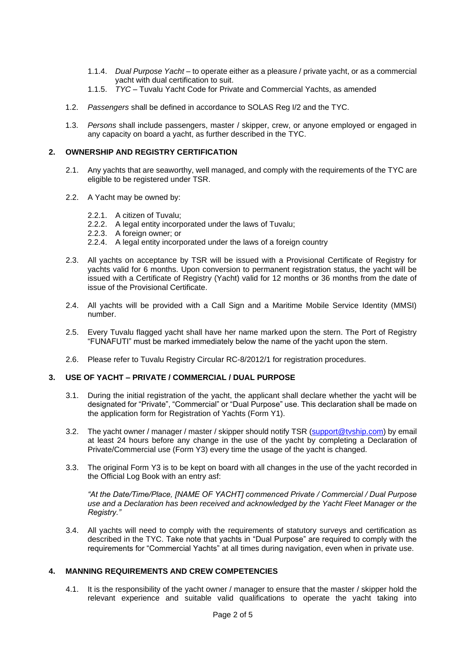- 1.1.4. *Dual Purpose Yacht –* to operate either as a pleasure / private yacht, or as a commercial yacht with dual certification to suit.
- 1.1.5. *TYC –* Tuvalu Yacht Code for Private and Commercial Yachts, as amended
- 1.2. *Passengers* shall be defined in accordance to SOLAS Reg I/2 and the TYC.
- 1.3. *Persons* shall include passengers, master / skipper, crew, or anyone employed or engaged in any capacity on board a yacht, as further described in the TYC.

#### **2. OWNERSHIP AND REGISTRY CERTIFICATION**

- 2.1. Any yachts that are seaworthy, well managed, and comply with the requirements of the TYC are eligible to be registered under TSR.
- 2.2. A Yacht may be owned by:
	- 2.2.1. A citizen of Tuvalu;
	- 2.2.2. A legal entity incorporated under the laws of Tuvalu;
	- 2.2.3. A foreign owner; or
	- 2.2.4. A legal entity incorporated under the laws of a foreign country
- 2.3. All yachts on acceptance by TSR will be issued with a Provisional Certificate of Registry for yachts valid for 6 months. Upon conversion to permanent registration status, the yacht will be issued with a Certificate of Registry (Yacht) valid for 12 months or 36 months from the date of issue of the Provisional Certificate.
- 2.4. All yachts will be provided with a Call Sign and a Maritime Mobile Service Identity (MMSI) number.
- 2.5. Every Tuvalu flagged yacht shall have her name marked upon the stern. The Port of Registry "FUNAFUTI" must be marked immediately below the name of the yacht upon the stern.
- 2.6. Please refer to Tuvalu Registry Circular RC-8/2012/1 for registration procedures.

#### **3. USE OF YACHT – PRIVATE / COMMERCIAL / DUAL PURPOSE**

- 3.1. During the initial registration of the yacht, the applicant shall declare whether the yacht will be designated for "Private", "Commercial" or "Dual Purpose" use. This declaration shall be made on the application form for Registration of Yachts (Form Y1).
- 3.2. The yacht owner / manager / master / skipper should notify TSR [\(support@tvship.com\)](mailto:support@tvship.com) by email at least 24 hours before any change in the use of the yacht by completing a Declaration of Private/Commercial use (Form Y3) every time the usage of the yacht is changed.
- 3.3. The original Form Y3 is to be kept on board with all changes in the use of the yacht recorded in the Official Log Book with an entry asf:

*"At the Date/Time/Place, [NAME OF YACHT] commenced Private / Commercial / Dual Purpose use and a Declaration has been received and acknowledged by the Yacht Fleet Manager or the Registry."*

3.4. All yachts will need to comply with the requirements of statutory surveys and certification as described in the TYC. Take note that yachts in "Dual Purpose" are required to comply with the requirements for "Commercial Yachts" at all times during navigation, even when in private use.

#### **4. MANNING REQUIREMENTS AND CREW COMPETENCIES**

4.1. It is the responsibility of the yacht owner / manager to ensure that the master / skipper hold the relevant experience and suitable valid qualifications to operate the yacht taking into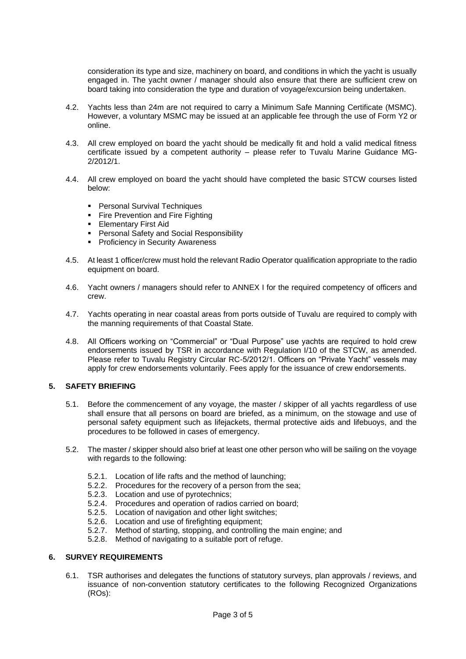consideration its type and size, machinery on board, and conditions in which the yacht is usually engaged in. The yacht owner / manager should also ensure that there are sufficient crew on board taking into consideration the type and duration of voyage/excursion being undertaken.

- 4.2. Yachts less than 24m are not required to carry a Minimum Safe Manning Certificate (MSMC). However, a voluntary MSMC may be issued at an applicable fee through the use of Form Y2 or online.
- 4.3. All crew employed on board the yacht should be medically fit and hold a valid medical fitness certificate issued by a competent authority – please refer to Tuvalu Marine Guidance MG-2/2012/1.
- 4.4. All crew employed on board the yacht should have completed the basic STCW courses listed below:
	- Personal Survival Techniques
	- **Fire Prevention and Fire Fighting**
	- **Elementary First Aid**
	- **Personal Safety and Social Responsibility**
	- Proficiency in Security Awareness
- 4.5. At least 1 officer/crew must hold the relevant Radio Operator qualification appropriate to the radio equipment on board.
- 4.6. Yacht owners / managers should refer to ANNEX I for the required competency of officers and crew.
- 4.7. Yachts operating in near coastal areas from ports outside of Tuvalu are required to comply with the manning requirements of that Coastal State.
- 4.8. All Officers working on "Commercial" or "Dual Purpose" use yachts are required to hold crew endorsements issued by TSR in accordance with Regulation I/10 of the STCW, as amended. Please refer to Tuvalu Registry Circular RC-5/2012/1. Officers on "Private Yacht" vessels may apply for crew endorsements voluntarily. Fees apply for the issuance of crew endorsements.

#### **5. SAFETY BRIEFING**

- 5.1. Before the commencement of any voyage, the master / skipper of all yachts regardless of use shall ensure that all persons on board are briefed, as a minimum, on the stowage and use of personal safety equipment such as lifejackets, thermal protective aids and lifebuoys, and the procedures to be followed in cases of emergency.
- 5.2. The master / skipper should also brief at least one other person who will be sailing on the voyage with regards to the following:
	- 5.2.1. Location of life rafts and the method of launching;
	- 5.2.2. Procedures for the recovery of a person from the sea;
	- 5.2.3. Location and use of pyrotechnics;
	- 5.2.4. Procedures and operation of radios carried on board;
	- 5.2.5. Location of navigation and other light switches;
	- 5.2.6. Location and use of firefighting equipment;
	- 5.2.7. Method of starting, stopping, and controlling the main engine; and
	- 5.2.8. Method of navigating to a suitable port of refuge.

#### **6. SURVEY REQUIREMENTS**

6.1. TSR authorises and delegates the functions of statutory surveys, plan approvals / reviews, and issuance of non-convention statutory certificates to the following Recognized Organizations (ROs):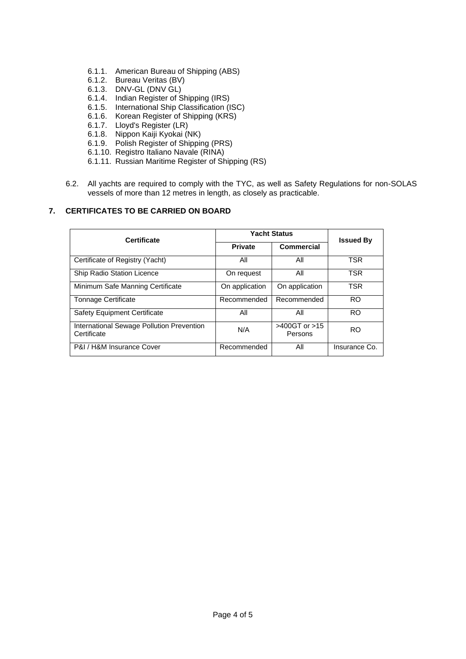- 6.1.1. American Bureau of Shipping (ABS)
- 6.1.2. Bureau Veritas (BV)
- 6.1.3. DNV-GL (DNV GL)
- 6.1.4. Indian Register of Shipping (IRS)
- 6.1.5. International Ship Classification (ISC)
- 6.1.6. Korean Register of Shipping (KRS)
- 6.1.7. Lloyd's Register (LR)
- 6.1.8. Nippon Kaiji Kyokai (NK)
- 6.1.9. Polish Register of Shipping (PRS)
- 6.1.10. Registro Italiano Navale (RINA)
- 6.1.11. Russian Maritime Register of Shipping (RS)
- 6.2. All yachts are required to comply with the TYC, as well as Safety Regulations for non-SOLAS vessels of more than 12 metres in length, as closely as practicable.

# **7. CERTIFICATES TO BE CARRIED ON BOARD**

| <b>Certificate</b>                                       | <b>Yacht Status</b> |                               |                  |
|----------------------------------------------------------|---------------------|-------------------------------|------------------|
|                                                          | <b>Private</b>      | <b>Commercial</b>             | <b>Issued By</b> |
| Certificate of Registry (Yacht)                          | All                 | All                           | TSR              |
| <b>Ship Radio Station Licence</b>                        | On request          | All                           | TSR              |
| Minimum Safe Manning Certificate                         | On application      | On application                | <b>TSR</b>       |
| <b>Tonnage Certificate</b>                               | Recommended         | Recommended                   | RO.              |
| <b>Safety Equipment Certificate</b>                      | All                 | All                           | <b>RO</b>        |
| International Sewage Pollution Prevention<br>Certificate | N/A                 | $>400$ GT or $>15$<br>Persons | <b>RO</b>        |
| P&I / H&M Insurance Cover                                | Recommended         | All                           | Insurance Co.    |